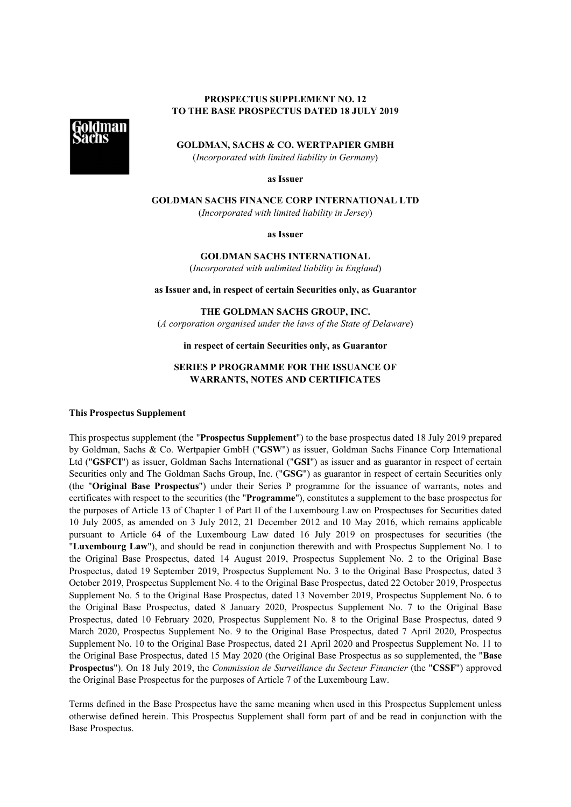# **PROSPECTUS SUPPLEMENT NO. 12 TO THE BASE PROSPECTUS DATED 18 JULY 2019**



**GOLDMAN, SACHS & CO. WERTPAPIER GMBH**

(*Incorporated with limited liability in Germany*)

**as Issuer**

**GOLDMAN SACHS FINANCE CORP INTERNATIONAL LTD**

(*Incorporated with limited liability in Jersey*)

**as Issuer**

**GOLDMAN SACHS INTERNATIONAL** (*Incorporated with unlimited liability in England*)

**as Issuer and, in respect of certain Securities only, as Guarantor**

**THE GOLDMAN SACHS GROUP, INC.**

(*A corporation organised under the laws of the State of Delaware*)

## **in respect of certain Securities only, as Guarantor**

## **SERIES P PROGRAMME FOR THE ISSUANCE OF WARRANTS, NOTES AND CERTIFICATES**

#### **This Prospectus Supplement**

This prospectus supplement (the "**Prospectus Supplement**") to the base prospectus dated 18 July 2019 prepared by Goldman, Sachs & Co. Wertpapier GmbH ("**GSW**") as issuer, Goldman Sachs Finance Corp International Ltd ("**GSFCI**") as issuer, Goldman Sachs International ("**GSI**") as issuer and as guarantor in respect of certain Securities only and The Goldman Sachs Group, Inc. ("**GSG**") as guarantor in respect of certain Securities only (the "**Original Base Prospectus**") under their Series P programme for the issuance of warrants, notes and certificates with respect to the securities (the "**Programme**"), constitutes a supplement to the base prospectus for the purposes of Article 13 of Chapter 1 of Part II of the Luxembourg Law on Prospectuses for Securities dated 10 July 2005, as amended on 3 July 2012, 21 December 2012 and 10 May 2016, which remains applicable pursuant to Article 64 of the Luxembourg Law dated 16 July 2019 on prospectuses for securities (the "**Luxembourg Law**"), and should be read in conjunction therewith and with Prospectus Supplement No. 1 to the Original Base Prospectus, dated 14 August 2019, Prospectus Supplement No. 2 to the Original Base Prospectus, dated 19 September 2019, Prospectus Supplement No. 3 to the Original Base Prospectus, dated 3 October 2019, Prospectus Supplement No. 4 to the Original Base Prospectus, dated 22 October 2019, Prospectus Supplement No. 5 to the Original Base Prospectus, dated 13 November 2019, Prospectus Supplement No. 6 to the Original Base Prospectus, dated 8 January 2020, Prospectus Supplement No. 7 to the Original Base Prospectus, dated 10 February 2020, Prospectus Supplement No. 8 to the Original Base Prospectus, dated 9 March 2020, Prospectus Supplement No. 9 to the Original Base Prospectus, dated 7 April 2020, Prospectus Supplement No. 10 to the Original Base Prospectus, dated 21 April 2020 and Prospectus Supplement No. 11 to the Original Base Prospectus, dated 15 May 2020 (the Original Base Prospectus as so supplemented, the "**Base Prospectus**"). On 18 July 2019, the *Commission de Surveillance du Secteur Financier* (the "**CSSF**") approved the Original Base Prospectus for the purposes of Article 7 of the Luxembourg Law.

Terms defined in the Base Prospectus have the same meaning when used in this Prospectus Supplement unless otherwise defined herein. This Prospectus Supplement shall form part of and be read in conjunction with the Base Prospectus.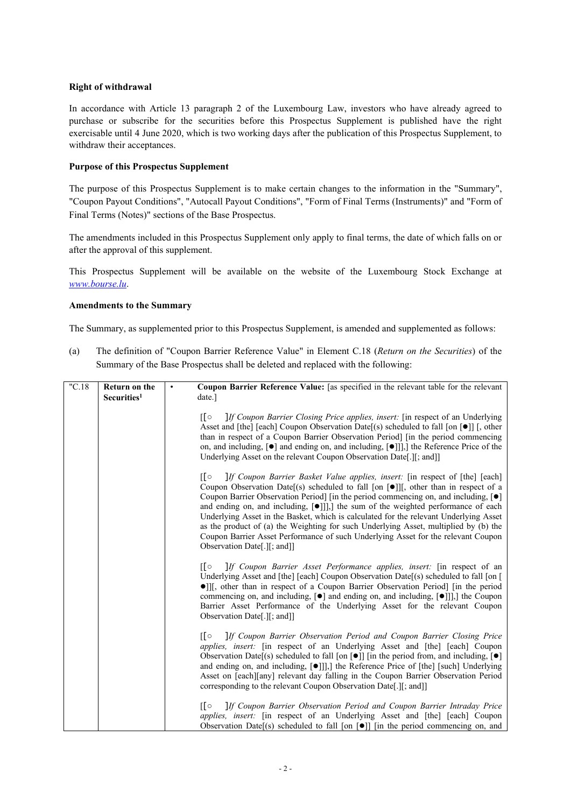# **Right of withdrawal**

In accordance with Article 13 paragraph 2 of the Luxembourg Law, investors who have already agreed to purchase or subscribe for the securities before this Prospectus Supplement is published have the right exercisable until 4 June 2020, which is two working days after the publication of this Prospectus Supplement, to withdraw their acceptances.

## **Purpose of this Prospectus Supplement**

The purpose of this Prospectus Supplement is to make certain changes to the information in the "Summary", "Coupon Payout Conditions", "Autocall Payout Conditions", "Form of Final Terms (Instruments)" and "Form of Final Terms (Notes)" sections of the Base Prospectus.

The amendments included in this Prospectus Supplement only apply to final terms, the date of which falls on or after the approval of this supplement.

This Prospectus Supplement will be available on the website of the Luxembourg Stock Exchange at *[www.bourse.lu](http://www.bourse.lu/)*.

## **Amendments to the Summary**

The Summary, as supplemented prior to this Prospectus Supplement, is amended and supplemented as follows:

(a) The definition of "Coupon Barrier Reference Value" in Element C.18 (*Return on the Securities*) of the Summary of the Base Prospectus shall be deleted and replaced with the following:

| "C.18" | <b>Return on the</b><br>Securities <sup>1</sup> | Coupon Barrier Reference Value: [as specified in the relevant table for the relevant<br>$\bullet$<br>date.]                                                                                                                                                                                                                                                                                                                                                                                                                                                                                                                                                                                                       |
|--------|-------------------------------------------------|-------------------------------------------------------------------------------------------------------------------------------------------------------------------------------------------------------------------------------------------------------------------------------------------------------------------------------------------------------------------------------------------------------------------------------------------------------------------------------------------------------------------------------------------------------------------------------------------------------------------------------------------------------------------------------------------------------------------|
|        |                                                 | $\sqrt{2}$<br><i>If Coupon Barrier Closing Price applies, insert:</i> [in respect of an Underlying]<br>Asset and [the] [each] Coupon Observation Date[(s) scheduled to fall [on $[•]$ ] [, other<br>than in respect of a Coupon Barrier Observation Period I in the period commencing<br>on, and including, $\lceil \bullet \rceil$ and ending on, and including, $\lceil \bullet \rceil \rceil$ , the Reference Price of the<br>Underlying Asset on the relevant Coupon Observation Date[.][; and]]                                                                                                                                                                                                              |
|        |                                                 | Пo<br>If Coupon Barrier Basket Value applies, insert: [in respect of [the] [each]<br>Coupon Observation Date[(s) scheduled to fall [on $\llbracket \bullet \rrbracket$ ][, other than in respect of a<br>Coupon Barrier Observation Period $\vert$ [in the period commencing on, and including, $\vert \bullet \vert$ ]<br>and ending on, and including, [·]]],] the sum of the weighted performance of each<br>Underlying Asset in the Basket, which is calculated for the relevant Underlying Asset<br>as the product of (a) the Weighting for such Underlying Asset, multiplied by (b) the<br>Coupon Barrier Asset Performance of such Underlying Asset for the relevant Coupon<br>Observation Date[.][; and]] |
|        |                                                 | If Coupon Barrier Asset Performance applies, insert: [in respect of an<br>$\sqrt{2}$<br>Underlying Asset and [the] [each] Coupon Observation Date[(s) scheduled to fall [on [<br>· Il, other than in respect of a Coupon Barrier Observation Period] [in the period<br>commencing on, and including, $[\bullet]$ and ending on, and including, $[\bullet]]$ ], the Coupon<br>Barrier Asset Performance of the Underlying Asset for the relevant Coupon<br>Observation Date[.][; and]]                                                                                                                                                                                                                             |
|        |                                                 | If Coupon Barrier Observation Period and Coupon Barrier Closing Price<br>[Γο<br><i>applies, insert:</i> [in respect of an Underlying Asset and [the] [each] Coupon<br>Observation Date[(s) scheduled to fall [on $\lceil \bullet \rceil$ ] [in the period from, and including, $\lceil \bullet \rceil$<br>and ending on, and including, [ $\bullet$ ]]],] the Reference Price of [the] [such] Underlying<br>Asset on [each][any] relevant day falling in the Coupon Barrier Observation Period<br>corresponding to the relevant Coupon Observation Date[.][; and]]                                                                                                                                                |
|        |                                                 | $\overline{\mathsf{F}}$<br>If Coupon Barrier Observation Period and Coupon Barrier Intraday Price<br>applies, insert: [in respect of an Underlying Asset and [the] [each] Coupon<br>Observation Date[(s) scheduled to fall [on $\lceil \bullet \rceil$ ] [in the period commencing on, and                                                                                                                                                                                                                                                                                                                                                                                                                        |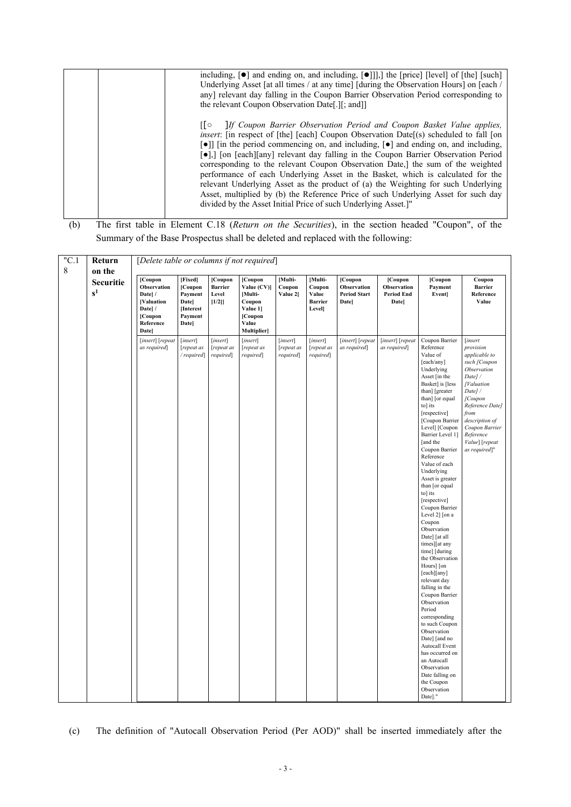| including, $[\bullet]$ and ending on, and including, $[\bullet]]$ , the [price] [level] of [the] [such]<br>Underlying Asset [at all times / at any time] [during the Observation Hours] on [each /<br>any] relevant day falling in the Coupon Barrier Observation Period corresponding to<br>the relevant Coupon Observation Date[.][; and]]                                                                                                                                                                                                                                                                                                                                                                                                                                                                       |
|--------------------------------------------------------------------------------------------------------------------------------------------------------------------------------------------------------------------------------------------------------------------------------------------------------------------------------------------------------------------------------------------------------------------------------------------------------------------------------------------------------------------------------------------------------------------------------------------------------------------------------------------------------------------------------------------------------------------------------------------------------------------------------------------------------------------|
| [[o IIf Coupon Barrier Observation Period and Coupon Basket Value applies,<br>insert: [in respect of [the] [each] Coupon Observation Date[(s) scheduled to fall [on<br>[•]] [in the period commencing on, and including, [•] and ending on, and including,<br>$\lceil \bullet \rceil$ , $\lceil \circ \bullet \rceil$ [each][any] relevant day falling in the Coupon Barrier Observation Period<br>corresponding to the relevant Coupon Observation Date,] the sum of the weighted<br>performance of each Underlying Asset in the Basket, which is calculated for the<br>relevant Underlying Asset as the product of (a) the Weighting for such Underlying<br>Asset, multiplied by (b) the Reference Price of such Underlying Asset for such day<br>divided by the Asset Initial Price of such Underlying Asset.]" |

<sup>(</sup>b) The first table in Element C.18 (*Return on the Securities*), in the section headed "Coupon", of the Summary of the Base Prospectus shall be deleted and replaced with the following:

| "C.1 | Return                    | [Delete table or columns if not required]                                                        |                                                                                |                                             |                                                                                            |                                    |                                                       |                                                              |                                                            |                                                                                                                                                                                                                                                                                                                                                                                                                                                                                                                                                                                                                                                                                                                                                                                                                                       |                                                                                                                                                                                                                                  |
|------|---------------------------|--------------------------------------------------------------------------------------------------|--------------------------------------------------------------------------------|---------------------------------------------|--------------------------------------------------------------------------------------------|------------------------------------|-------------------------------------------------------|--------------------------------------------------------------|------------------------------------------------------------|---------------------------------------------------------------------------------------------------------------------------------------------------------------------------------------------------------------------------------------------------------------------------------------------------------------------------------------------------------------------------------------------------------------------------------------------------------------------------------------------------------------------------------------------------------------------------------------------------------------------------------------------------------------------------------------------------------------------------------------------------------------------------------------------------------------------------------------|----------------------------------------------------------------------------------------------------------------------------------------------------------------------------------------------------------------------------------|
| 8    | on the                    |                                                                                                  |                                                                                |                                             |                                                                                            |                                    |                                                       |                                                              |                                                            |                                                                                                                                                                                                                                                                                                                                                                                                                                                                                                                                                                                                                                                                                                                                                                                                                                       |                                                                                                                                                                                                                                  |
|      | <b>Securitie</b><br>$s^1$ | [Coupon<br>Observation<br>Date]/<br><b>[Valuation</b><br>Date]/<br>[Coupon<br>Reference<br>Date] | [Fixed]<br>[Coupon<br>Payment<br><b>Date</b><br>[Interest]<br>Payment<br>Date] | [Coupon<br><b>Barrier</b><br>Level<br>[1/2] | [Coupon<br>Value (CV)]<br>[Multi-<br>Coupon<br>Value 1]<br>[Coupon<br>Value<br>Multiplier] | [Multi-<br>Coupon<br>Value 21      | [Multi-<br>Coupon<br>Value<br><b>Barrier</b><br>Level | [Coupon<br>Observation<br><b>Period Start</b><br><b>Date</b> | [Coupon<br>Observation<br><b>Period End</b><br><b>Date</b> | [Coupon<br>Payment<br><b>Event</b>                                                                                                                                                                                                                                                                                                                                                                                                                                                                                                                                                                                                                                                                                                                                                                                                    | Coupon<br><b>Barrier</b><br>Reference<br>Value                                                                                                                                                                                   |
|      |                           | [insert] [repeat<br>as required]                                                                 | [insert]<br>repeat as<br>/required                                             | [insert]<br>repeat as<br>required]          | [insert]<br>repeat as<br>required]                                                         | [insert]<br>repeat as<br>required] | [insert]<br>repeat as<br>required]                    | [insert] [repeat<br>as required                              | [insert] [repeat<br>as required                            | Coupon Barrier<br>Reference<br>Value of<br>[each/any]<br>Underlying<br>Asset [in the<br>Basket] is [less<br>than] [greater<br>than] [or equal<br>to] its<br>[respective]<br>[Coupon Barrier<br>Level] [Coupon<br>Barrier Level 1]<br>[and the<br>Coupon Barrier<br>Reference<br>Value of each<br>Underlying<br>Asset is greater<br>than [or equal<br>$\frac{1}{10}$ its<br>[respective]<br>Coupon Barrier<br>Level 2] [on a<br>Coupon<br>Observation<br>Date] [at all<br>times][at any<br>time] [during<br>the Observation<br>Hours] [on<br>[each][any]<br>relevant day<br>falling in the<br>Coupon Barrier<br>Observation<br>Period<br>corresponding<br>to such Coupon<br>Observation<br>Date] [and no<br>Autocall Event<br>has occurred on<br>an Autocall<br>Observation<br>Date falling on<br>the Coupon<br>Observation<br>Date]." | [insert<br>provision<br>applicable to<br>such [Coupon<br>Observation<br>Date]/<br>[Valuation<br>Date]/<br>[Coupon<br>Reference Date]<br>from<br>description of<br>Coupon Barrier<br>Reference<br>Value] [repeat<br>as required]" |

(c) The definition of "Autocall Observation Period (Per AOD)" shall be inserted immediately after the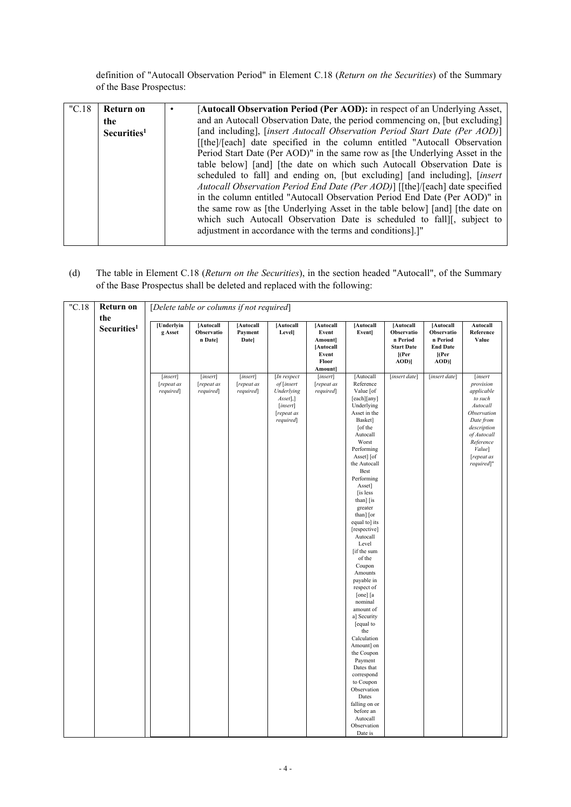definition of "Autocall Observation Period" in Element C.18 (*Return on the Securities*) of the Summary of the Base Prospectus:

| "C.18" | Return on<br>the<br>Securities <sup>1</sup> | [Autocall Observation Period (Per AOD): in respect of an Underlying Asset,<br>$\bullet$<br>and an Autocall Observation Date, the period commencing on, [but excluding]<br>[and including], [insert Autocall Observation Period Start Date (Per AOD)]<br>[[the]/[each] date specified in the column entitled "Autocall Observation<br>Period Start Date (Per AOD)" in the same row as [the Underlying Asset in the<br>table below] [and] [the date on which such Autocall Observation Date is<br>scheduled to fall] and ending on, [but excluding] [and including], [insert]<br>Autocall Observation Period End Date (Per AOD)] [[the]/[each] date specified<br>in the column entitled "Autocall Observation Period End Date (Per AOD)" in<br>the same row as [the Underlying Asset in the table below] [and] [the date on |
|--------|---------------------------------------------|---------------------------------------------------------------------------------------------------------------------------------------------------------------------------------------------------------------------------------------------------------------------------------------------------------------------------------------------------------------------------------------------------------------------------------------------------------------------------------------------------------------------------------------------------------------------------------------------------------------------------------------------------------------------------------------------------------------------------------------------------------------------------------------------------------------------------|
|        |                                             | which such Autocall Observation Date is scheduled to fall][, subject to<br>adjustment in accordance with the terms and conditions].]"                                                                                                                                                                                                                                                                                                                                                                                                                                                                                                                                                                                                                                                                                     |

(d) The table in Element C.18 (*Return on the Securities*), in the section headed "Autocall", of the Summary of the Base Prospectus shall be deleted and replaced with the following:

| "C.18" | <b>Return on</b>               |                                     | [Delete table or columns if not required] |                                     |                                                                                            |                                                                         |                                                                                                                                                                                                                                                                                                                                                                                                                                                                                                                                                                                                                                                            |                                                                                  |                                                                               |                                                                                                                                                                        |  |
|--------|--------------------------------|-------------------------------------|-------------------------------------------|-------------------------------------|--------------------------------------------------------------------------------------------|-------------------------------------------------------------------------|------------------------------------------------------------------------------------------------------------------------------------------------------------------------------------------------------------------------------------------------------------------------------------------------------------------------------------------------------------------------------------------------------------------------------------------------------------------------------------------------------------------------------------------------------------------------------------------------------------------------------------------------------------|----------------------------------------------------------------------------------|-------------------------------------------------------------------------------|------------------------------------------------------------------------------------------------------------------------------------------------------------------------|--|
|        | the<br>Securities <sup>1</sup> | [Underlyin<br>g Asset               | [Autocall<br>Observatio<br>n Date]        | [Autocall<br>Payment<br>Date]       | [Autocall<br><b>Level</b>                                                                  | [Autocall<br>Event<br>Amount]<br>[Autocall<br>Event<br>Floor<br>Amount] | [Autocall<br>Event]                                                                                                                                                                                                                                                                                                                                                                                                                                                                                                                                                                                                                                        | [Autocall]<br>Observatio<br>n Period<br><b>Start Date</b><br>$[$ (Per<br>$AOD$ ] | [Autocall<br>Observatio<br>n Period<br><b>End Date</b><br>$[$ (Per<br>$AOD$ ] | Autocall<br>Reference<br>Value                                                                                                                                         |  |
|        |                                | [insert]<br>[repeat as<br>required] | [insert]<br>[repeat as<br>required]       | [insert]<br>[repeat as<br>required] | [In respect<br>of [insert<br>Underlying<br>Asset],]<br>[insert]<br>[repeat as<br>required] | [insert]<br>[repeat as<br>required]                                     | [Autocall<br>Reference<br>Value [of<br>[each][any]<br>Underlying<br>Asset in the<br>Basket]<br>[of the<br>Autocall<br>Worst<br>Performing<br>Asset] [of<br>the Autocall<br>Best<br>Performing<br>Asset]<br>[is less<br>than] [is<br>greater<br>than] [or<br>equal to] its<br>[respective]<br>Autocall<br>Level<br>[if the sum<br>of the<br>Coupon<br>Amounts<br>payable in<br>respect of<br>[one] [a<br>nominal<br>amount of<br>a] Security<br>[equal to<br>the<br>Calculation<br>Amount] on<br>the Coupon<br>Payment<br>Dates that<br>correspond<br>to Coupon<br>Observation<br>Dates<br>falling on or<br>before an<br>Autocall<br>Observation<br>Date is | [insert date]                                                                    | [insert date]                                                                 | [insert<br>provision<br>applicable<br>to such<br>Autocall<br>Observation<br>Date from<br>description<br>of Autocall<br>Reference<br>Value]<br>[repeat as<br>required]" |  |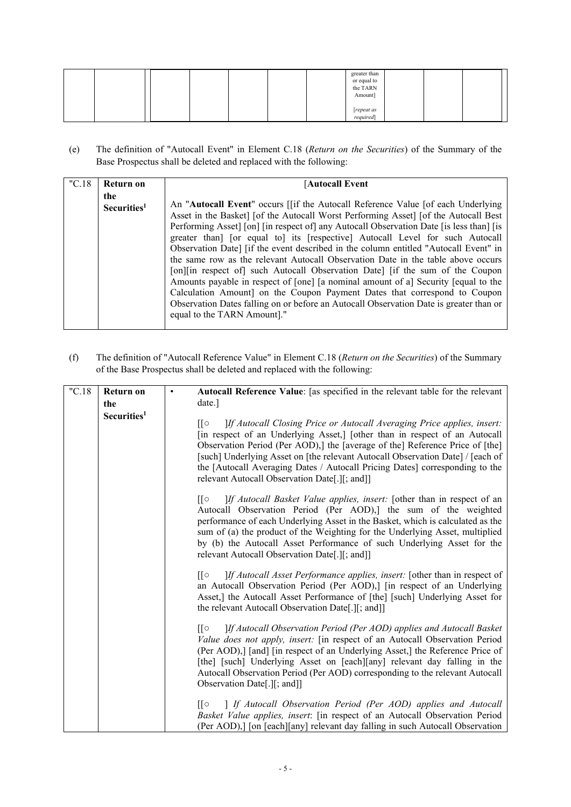|  |  |  | greater than<br>or equal to<br>the TARN<br>Amount] |  |  |
|--|--|--|----------------------------------------------------|--|--|
|  |  |  | [repeat as<br>required]                            |  |  |

(e) The definition of "Autocall Event" in Element C.18 (*Return on the Securities*) of the Summary of the Base Prospectus shall be deleted and replaced with the following:

| "C.18" | Return on                      | Autocall Event                                                                                                                                                                                                                                                                                                                                                                                                                                                                                                                                                                                                                                                                                                                                                                                                                                                                                                      |
|--------|--------------------------------|---------------------------------------------------------------------------------------------------------------------------------------------------------------------------------------------------------------------------------------------------------------------------------------------------------------------------------------------------------------------------------------------------------------------------------------------------------------------------------------------------------------------------------------------------------------------------------------------------------------------------------------------------------------------------------------------------------------------------------------------------------------------------------------------------------------------------------------------------------------------------------------------------------------------|
|        | the<br>Securities <sup>1</sup> | An " <b>Autocall Event</b> " occurs [if the Autocall Reference Value [of each Underlying<br>Asset in the Basket] [of the Autocall Worst Performing Asset] [of the Autocall Best<br>Performing Asset] [on] [in respect of] any Autocall Observation Date [is less than] [is<br>greater than [or equal to] its [respective] Autocall Level for such Autocall<br>Observation Date] [if the event described in the column entitled "Autocall Event" in<br>the same row as the relevant Autocall Observation Date in the table above occurs<br>[on][in respect of] such Autocall Observation Date] [if the sum of the Coupon<br>Amounts payable in respect of [one] [a nominal amount of a] Security [equal to the<br>Calculation Amount] on the Coupon Payment Dates that correspond to Coupon<br>Observation Dates falling on or before an Autocall Observation Date is greater than or<br>equal to the TARN Amount]." |

(f) The definition of "Autocall Reference Value" in Element C.18 (*Return on the Securities*) of the Summary of the Base Prospectus shall be deleted and replaced with the following:

| "C.18" | Return on               | Autocall Reference Value: [as specified in the relevant table for the relevant<br>$\bullet$                                                                                                                                                                                                                                                                                                                                                                                                                                                                                                                                                                                                                                                                                                        |
|--------|-------------------------|----------------------------------------------------------------------------------------------------------------------------------------------------------------------------------------------------------------------------------------------------------------------------------------------------------------------------------------------------------------------------------------------------------------------------------------------------------------------------------------------------------------------------------------------------------------------------------------------------------------------------------------------------------------------------------------------------------------------------------------------------------------------------------------------------|
|        | the                     | date.]                                                                                                                                                                                                                                                                                                                                                                                                                                                                                                                                                                                                                                                                                                                                                                                             |
|        | Securities <sup>1</sup> | If Autocall Closing Price or Autocall Averaging Price applies, insert:<br>∏○<br>[in respect of an Underlying Asset,] [other than in respect of an Autocall<br>Observation Period (Per AOD),] the [average of the] Reference Price of [the]<br>[such] Underlying Asset on [the relevant Autocall Observation Date] / [each of<br>the [Autocall Averaging Dates / Autocall Pricing Dates] corresponding to the<br>relevant Autocall Observation Date[.][; and]]                                                                                                                                                                                                                                                                                                                                      |
|        |                         | If Autocall Basket Value applies, insert: [other than in respect of an<br>Autocall Observation Period (Per AOD),] the sum of the weighted<br>performance of each Underlying Asset in the Basket, which is calculated as the<br>sum of (a) the product of the Weighting for the Underlying Asset, multiplied<br>by (b) the Autocall Asset Performance of such Underlying Asset for the<br>relevant Autocall Observation Date[.][; and]]                                                                                                                                                                                                                                                                                                                                                             |
|        |                         | If Autocall Asset Performance applies, insert: [other than in respect of<br>[[O<br>an Autocall Observation Period (Per AOD),] [in respect of an Underlying<br>Asset,] the Autocall Asset Performance of [the] [such] Underlying Asset for<br>the relevant Autocall Observation Date[.][; and]]                                                                                                                                                                                                                                                                                                                                                                                                                                                                                                     |
|        |                         | ]If Autocall Observation Period (Per AOD) applies and Autocall Basket<br>[[o<br>Value does not apply, insert: [in respect of an Autocall Observation Period<br>(Per AOD),] [and] [in respect of an Underlying Asset,] the Reference Price of<br>[the] [such] Underlying Asset on [each][any] relevant day falling in the<br>Autocall Observation Period (Per AOD) corresponding to the relevant Autocall<br>Observation Date[.][; and]]                                                                                                                                                                                                                                                                                                                                                            |
|        |                         | $\begin{bmatrix} \circ & \cdot & \cdot \\ \cdot & \circ & \cdot \\ \cdot & \cdot & \cdot \\ \cdot & \cdot & \cdot \\ \cdot & \cdot & \cdot \\ \cdot & \cdot & \cdot \\ \cdot & \cdot & \cdot \\ \cdot & \cdot & \cdot \\ \cdot & \cdot & \cdot \\ \cdot & \cdot & \cdot \\ \cdot & \cdot & \cdot \\ \cdot & \cdot & \cdot \\ \cdot & \cdot & \cdot \\ \cdot & \cdot & \cdot \\ \cdot & \cdot & \cdot \\ \cdot & \cdot & \cdot \\ \cdot & \cdot & \cdot \\ \cdot & \cdot & \cdot \\ \cdot & \cdot & \cdot \\ \cdot & \cdot & \cdot \\ \cdot & \cdot & \cdot \\ \cdot & \cdot & \cdot \\ \cdot & \cdot & \cdot \\ \cdot & \cdot & \$<br>Basket Value applies, insert: [in respect of an Autocall Observation Period<br>(Per AOD),] [on [each][any] relevant day falling in such Autocall Observation |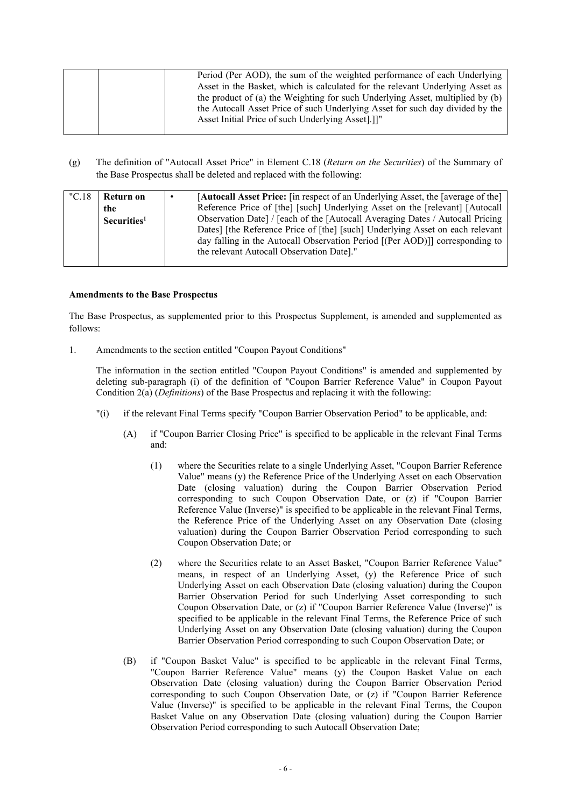|  | Period (Per AOD), the sum of the weighted performance of each Underlying      |
|--|-------------------------------------------------------------------------------|
|  | Asset in the Basket, which is calculated for the relevant Underlying Asset as |
|  | the product of (a) the Weighting for such Underlying Asset, multiplied by (b) |
|  | the Autocall Asset Price of such Underlying Asset for such day divided by the |
|  | Asset Initial Price of such Underlying Asset.                                 |
|  |                                                                               |

(g) The definition of "Autocall Asset Price" in Element C.18 (*Return on the Securities*) of the Summary of the Base Prospectus shall be deleted and replaced with the following:

| "C.18" | Return on               | [Autocall Asset Price: [in respect of an Underlying Asset, the [average of the]<br>٠ |
|--------|-------------------------|--------------------------------------------------------------------------------------|
|        | the                     | Reference Price of [the] [such] Underlying Asset on the [relevant] [Autocall]        |
|        | Securities <sup>1</sup> | Observation Date] / [each of the [Autocall Averaging Dates / Autocall Pricing        |
|        |                         | Dates] [the Reference Price of [the] [such] Underlying Asset on each relevant        |
|        |                         | day falling in the Autocall Observation Period [(Per AOD)]] corresponding to         |
|        |                         | the relevant Autocall Observation Date]."                                            |
|        |                         |                                                                                      |

## **Amendments to the Base Prospectus**

The Base Prospectus, as supplemented prior to this Prospectus Supplement, is amended and supplemented as follows:

1. Amendments to the section entitled "Coupon Payout Conditions"

The information in the section entitled "Coupon Payout Conditions" is amended and supplemented by deleting sub-paragraph (i) of the definition of "Coupon Barrier Reference Value" in Coupon Payout Condition 2(a) (*Definitions*) of the Base Prospectus and replacing it with the following:

- "(i) if the relevant Final Terms specify "Coupon Barrier Observation Period" to be applicable, and:
	- (A) if "Coupon Barrier Closing Price" is specified to be applicable in the relevant Final Terms and:
		- (1) where the Securities relate to a single Underlying Asset, "Coupon Barrier Reference Value" means (y) the Reference Price of the Underlying Asset on each Observation Date (closing valuation) during the Coupon Barrier Observation Period corresponding to such Coupon Observation Date, or (z) if "Coupon Barrier Reference Value (Inverse)" is specified to be applicable in the relevant Final Terms, the Reference Price of the Underlying Asset on any Observation Date (closing valuation) during the Coupon Barrier Observation Period corresponding to such Coupon Observation Date; or
		- (2) where the Securities relate to an Asset Basket, "Coupon Barrier Reference Value" means, in respect of an Underlying Asset, (y) the Reference Price of such Underlying Asset on each Observation Date (closing valuation) during the Coupon Barrier Observation Period for such Underlying Asset corresponding to such Coupon Observation Date, or (z) if "Coupon Barrier Reference Value (Inverse)" is specified to be applicable in the relevant Final Terms, the Reference Price of such Underlying Asset on any Observation Date (closing valuation) during the Coupon Barrier Observation Period corresponding to such Coupon Observation Date; or
	- (B) if "Coupon Basket Value" is specified to be applicable in the relevant Final Terms, "Coupon Barrier Reference Value" means (y) the Coupon Basket Value on each Observation Date (closing valuation) during the Coupon Barrier Observation Period corresponding to such Coupon Observation Date, or (z) if "Coupon Barrier Reference Value (Inverse)" is specified to be applicable in the relevant Final Terms, the Coupon Basket Value on any Observation Date (closing valuation) during the Coupon Barrier Observation Period corresponding to such Autocall Observation Date;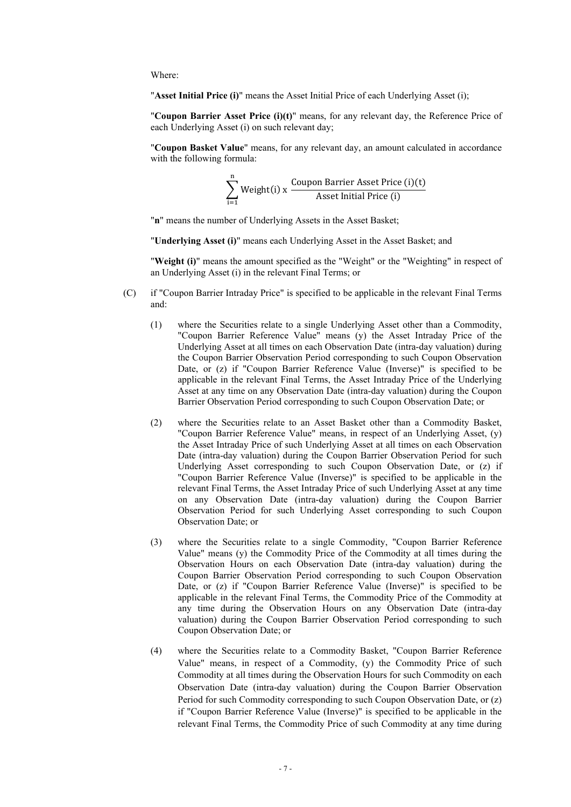Where:

"**Asset Initial Price (i)**" means the Asset Initial Price of each Underlying Asset (i);

"**Coupon Barrier Asset Price (i)(t)**" means, for any relevant day, the Reference Price of each Underlying Asset (i) on such relevant day;

"**Coupon Basket Value**" means, for any relevant day, an amount calculated in accordance with the following formula:

$$
\sum_{i=1}^{n} Weight(i) \times \frac{Coupon \,Barrier \, Asset \, Price (i)(t)}{Asset \, Initial \, Price (i)}
$$

"**n**" means the number of Underlying Assets in the Asset Basket;

"**Underlying Asset (i)**" means each Underlying Asset in the Asset Basket; and

"**Weight (i)**" means the amount specified as the "Weight" or the "Weighting" in respect of an Underlying Asset (i) in the relevant Final Terms; or

- (C) if "Coupon Barrier Intraday Price" is specified to be applicable in the relevant Final Terms and:
	- (1) where the Securities relate to a single Underlying Asset other than a Commodity, "Coupon Barrier Reference Value" means (y) the Asset Intraday Price of the Underlying Asset at all times on each Observation Date (intra-day valuation) during the Coupon Barrier Observation Period corresponding to such Coupon Observation Date, or (z) if "Coupon Barrier Reference Value (Inverse)" is specified to be applicable in the relevant Final Terms, the Asset Intraday Price of the Underlying Asset at any time on any Observation Date (intra-day valuation) during the Coupon Barrier Observation Period corresponding to such Coupon Observation Date; or
	- (2) where the Securities relate to an Asset Basket other than a Commodity Basket, "Coupon Barrier Reference Value" means, in respect of an Underlying Asset, (y) the Asset Intraday Price of such Underlying Asset at all times on each Observation Date (intra-day valuation) during the Coupon Barrier Observation Period for such Underlying Asset corresponding to such Coupon Observation Date, or (z) if "Coupon Barrier Reference Value (Inverse)" is specified to be applicable in the relevant Final Terms, the Asset Intraday Price of such Underlying Asset at any time on any Observation Date (intra-day valuation) during the Coupon Barrier Observation Period for such Underlying Asset corresponding to such Coupon Observation Date; or
	- (3) where the Securities relate to a single Commodity, "Coupon Barrier Reference Value" means (y) the Commodity Price of the Commodity at all times during the Observation Hours on each Observation Date (intra-day valuation) during the Coupon Barrier Observation Period corresponding to such Coupon Observation Date, or (z) if "Coupon Barrier Reference Value (Inverse)" is specified to be applicable in the relevant Final Terms, the Commodity Price of the Commodity at any time during the Observation Hours on any Observation Date (intra-day valuation) during the Coupon Barrier Observation Period corresponding to such Coupon Observation Date; or
	- (4) where the Securities relate to a Commodity Basket, "Coupon Barrier Reference Value" means, in respect of a Commodity, (y) the Commodity Price of such Commodity at all times during the Observation Hours for such Commodity on each Observation Date (intra-day valuation) during the Coupon Barrier Observation Period for such Commodity corresponding to such Coupon Observation Date, or (z) if "Coupon Barrier Reference Value (Inverse)" is specified to be applicable in the relevant Final Terms, the Commodity Price of such Commodity at any time during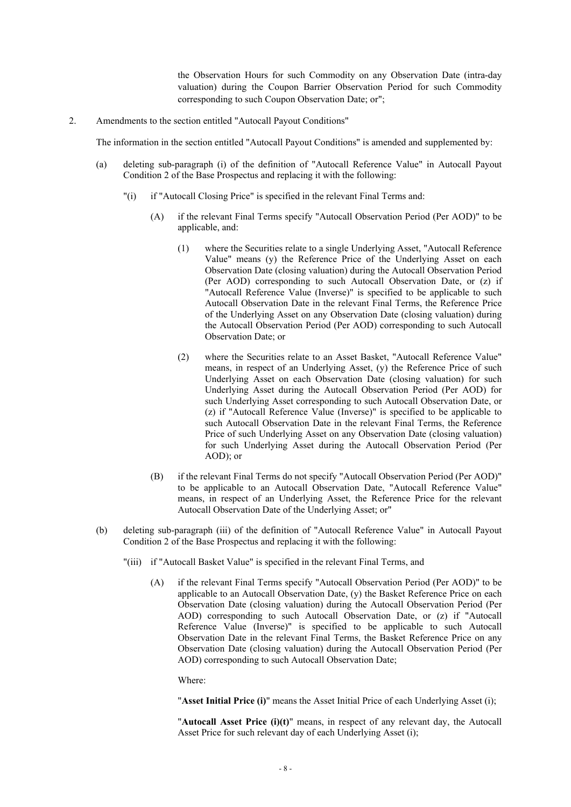the Observation Hours for such Commodity on any Observation Date (intra-day valuation) during the Coupon Barrier Observation Period for such Commodity corresponding to such Coupon Observation Date; or";

2. Amendments to the section entitled "Autocall Payout Conditions"

The information in the section entitled "Autocall Payout Conditions" is amended and supplemented by:

- (a) deleting sub-paragraph (i) of the definition of "Autocall Reference Value" in Autocall Payout Condition 2 of the Base Prospectus and replacing it with the following:
	- "(i) if "Autocall Closing Price" is specified in the relevant Final Terms and:
		- (A) if the relevant Final Terms specify "Autocall Observation Period (Per AOD)" to be applicable, and:
			- (1) where the Securities relate to a single Underlying Asset, "Autocall Reference Value" means (y) the Reference Price of the Underlying Asset on each Observation Date (closing valuation) during the Autocall Observation Period (Per AOD) corresponding to such Autocall Observation Date, or (z) if "Autocall Reference Value (Inverse)" is specified to be applicable to such Autocall Observation Date in the relevant Final Terms, the Reference Price of the Underlying Asset on any Observation Date (closing valuation) during the Autocall Observation Period (Per AOD) corresponding to such Autocall Observation Date; or
			- (2) where the Securities relate to an Asset Basket, "Autocall Reference Value" means, in respect of an Underlying Asset, (y) the Reference Price of such Underlying Asset on each Observation Date (closing valuation) for such Underlying Asset during the Autocall Observation Period (Per AOD) for such Underlying Asset corresponding to such Autocall Observation Date, or (z) if "Autocall Reference Value (Inverse)" is specified to be applicable to such Autocall Observation Date in the relevant Final Terms, the Reference Price of such Underlying Asset on any Observation Date (closing valuation) for such Underlying Asset during the Autocall Observation Period (Per AOD); or
		- (B) if the relevant Final Terms do not specify "Autocall Observation Period (Per AOD)" to be applicable to an Autocall Observation Date, "Autocall Reference Value" means, in respect of an Underlying Asset, the Reference Price for the relevant Autocall Observation Date of the Underlying Asset; or"
- (b) deleting sub-paragraph (iii) of the definition of "Autocall Reference Value" in Autocall Payout Condition 2 of the Base Prospectus and replacing it with the following:
	- "(iii) if "Autocall Basket Value" is specified in the relevant Final Terms, and
		- (A) if the relevant Final Terms specify "Autocall Observation Period (Per AOD)" to be applicable to an Autocall Observation Date, (y) the Basket Reference Price on each Observation Date (closing valuation) during the Autocall Observation Period (Per AOD) corresponding to such Autocall Observation Date, or (z) if "Autocall Reference Value (Inverse)" is specified to be applicable to such Autocall Observation Date in the relevant Final Terms, the Basket Reference Price on any Observation Date (closing valuation) during the Autocall Observation Period (Per AOD) corresponding to such Autocall Observation Date;

Where:

"**Asset Initial Price (i)**" means the Asset Initial Price of each Underlying Asset (i);

"**Autocall Asset Price (i)(t)**" means, in respect of any relevant day, the Autocall Asset Price for such relevant day of each Underlying Asset (i);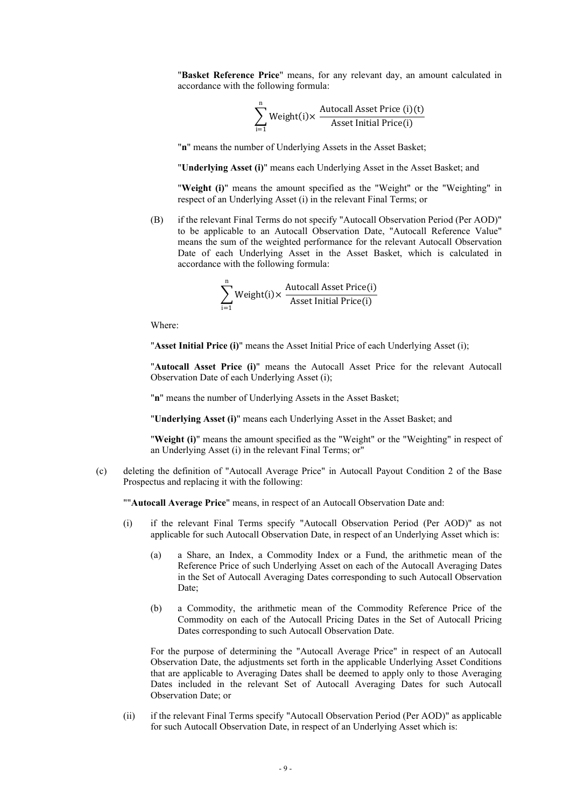"**Basket Reference Price**" means, for any relevant day, an amount calculated in accordance with the following formula:

$$
\sum_{i=1}^{n} Weight(i) \times \frac{Autowired \text{Asset Price (i)(t)}}{\text{Asset Initial Price(i)}}
$$

"**n**" means the number of Underlying Assets in the Asset Basket;

"**Underlying Asset (i)**" means each Underlying Asset in the Asset Basket; and

"**Weight (i)**" means the amount specified as the "Weight" or the "Weighting" in respect of an Underlying Asset (i) in the relevant Final Terms; or

(B) if the relevant Final Terms do not specify "Autocall Observation Period (Per AOD)" to be applicable to an Autocall Observation Date, "Autocall Reference Value" means the sum of the weighted performance for the relevant Autocall Observation Date of each Underlying Asset in the Asset Basket, which is calculated in accordance with the following formula:

$$
\sum_{i=1}^{n} Weight(i) \times \frac{Autowired \text{ Asset Price}(i)}{\text{Asset Initial Price}(i)}
$$

Where:

"**Asset Initial Price (i)**" means the Asset Initial Price of each Underlying Asset (i);

"**Autocall Asset Price (i)**" means the Autocall Asset Price for the relevant Autocall Observation Date of each Underlying Asset (i);

"**n**" means the number of Underlying Assets in the Asset Basket;

"**Underlying Asset (i)**" means each Underlying Asset in the Asset Basket; and

"**Weight (i)**" means the amount specified as the "Weight" or the "Weighting" in respect of an Underlying Asset (i) in the relevant Final Terms; or"

(c) deleting the definition of "Autocall Average Price" in Autocall Payout Condition 2 of the Base Prospectus and replacing it with the following:

""**Autocall Average Price**" means, in respect of an Autocall Observation Date and:

- (i) if the relevant Final Terms specify "Autocall Observation Period (Per AOD)" as not applicable for such Autocall Observation Date, in respect of an Underlying Asset which is:
	- (a) a Share, an Index, a Commodity Index or a Fund, the arithmetic mean of the Reference Price of such Underlying Asset on each of the Autocall Averaging Dates in the Set of Autocall Averaging Dates corresponding to such Autocall Observation Date;
	- (b) a Commodity, the arithmetic mean of the Commodity Reference Price of the Commodity on each of the Autocall Pricing Dates in the Set of Autocall Pricing Dates corresponding to such Autocall Observation Date.

For the purpose of determining the "Autocall Average Price" in respect of an Autocall Observation Date, the adjustments set forth in the applicable Underlying Asset Conditions that are applicable to Averaging Dates shall be deemed to apply only to those Averaging Dates included in the relevant Set of Autocall Averaging Dates for such Autocall Observation Date; or

(ii) if the relevant Final Terms specify "Autocall Observation Period (Per AOD)" as applicable for such Autocall Observation Date, in respect of an Underlying Asset which is: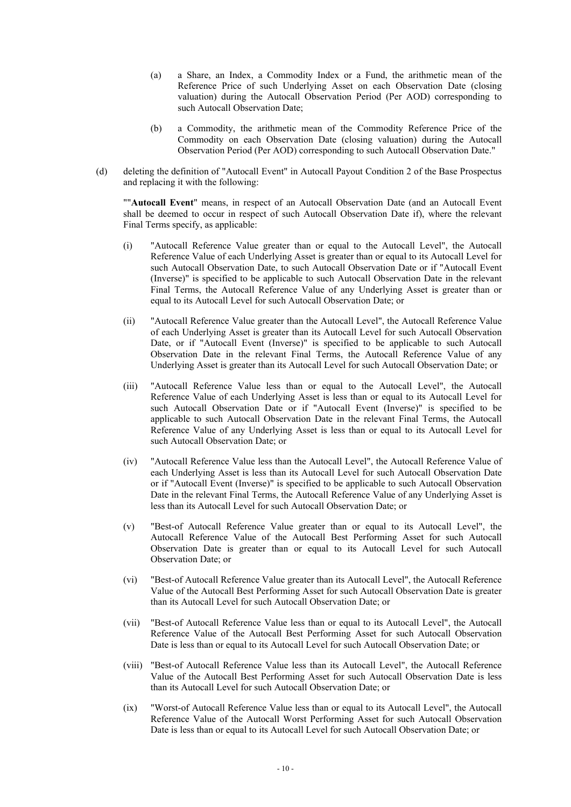- (a) a Share, an Index, a Commodity Index or a Fund, the arithmetic mean of the Reference Price of such Underlying Asset on each Observation Date (closing valuation) during the Autocall Observation Period (Per AOD) corresponding to such Autocall Observation Date;
- (b) a Commodity, the arithmetic mean of the Commodity Reference Price of the Commodity on each Observation Date (closing valuation) during the Autocall Observation Period (Per AOD) corresponding to such Autocall Observation Date."
- (d) deleting the definition of "Autocall Event" in Autocall Payout Condition 2 of the Base Prospectus and replacing it with the following:

""**Autocall Event**" means, in respect of an Autocall Observation Date (and an Autocall Event shall be deemed to occur in respect of such Autocall Observation Date if), where the relevant Final Terms specify, as applicable:

- (i) "Autocall Reference Value greater than or equal to the Autocall Level", the Autocall Reference Value of each Underlying Asset is greater than or equal to its Autocall Level for such Autocall Observation Date, to such Autocall Observation Date or if "Autocall Event (Inverse)" is specified to be applicable to such Autocall Observation Date in the relevant Final Terms, the Autocall Reference Value of any Underlying Asset is greater than or equal to its Autocall Level for such Autocall Observation Date; or
- (ii) "Autocall Reference Value greater than the Autocall Level", the Autocall Reference Value of each Underlying Asset is greater than its Autocall Level for such Autocall Observation Date, or if "Autocall Event (Inverse)" is specified to be applicable to such Autocall Observation Date in the relevant Final Terms, the Autocall Reference Value of any Underlying Asset is greater than its Autocall Level for such Autocall Observation Date; or
- (iii) "Autocall Reference Value less than or equal to the Autocall Level", the Autocall Reference Value of each Underlying Asset is less than or equal to its Autocall Level for such Autocall Observation Date or if "Autocall Event (Inverse)" is specified to be applicable to such Autocall Observation Date in the relevant Final Terms, the Autocall Reference Value of any Underlying Asset is less than or equal to its Autocall Level for such Autocall Observation Date; or
- (iv) "Autocall Reference Value less than the Autocall Level", the Autocall Reference Value of each Underlying Asset is less than its Autocall Level for such Autocall Observation Date or if "Autocall Event (Inverse)" is specified to be applicable to such Autocall Observation Date in the relevant Final Terms, the Autocall Reference Value of any Underlying Asset is less than its Autocall Level for such Autocall Observation Date; or
- (v) "Best-of Autocall Reference Value greater than or equal to its Autocall Level", the Autocall Reference Value of the Autocall Best Performing Asset for such Autocall Observation Date is greater than or equal to its Autocall Level for such Autocall Observation Date; or
- (vi) "Best-of Autocall Reference Value greater than its Autocall Level", the Autocall Reference Value of the Autocall Best Performing Asset for such Autocall Observation Date is greater than its Autocall Level for such Autocall Observation Date; or
- (vii) "Best-of Autocall Reference Value less than or equal to its Autocall Level", the Autocall Reference Value of the Autocall Best Performing Asset for such Autocall Observation Date is less than or equal to its Autocall Level for such Autocall Observation Date; or
- (viii) "Best-of Autocall Reference Value less than its Autocall Level", the Autocall Reference Value of the Autocall Best Performing Asset for such Autocall Observation Date is less than its Autocall Level for such Autocall Observation Date; or
- (ix) "Worst-of Autocall Reference Value less than or equal to its Autocall Level", the Autocall Reference Value of the Autocall Worst Performing Asset for such Autocall Observation Date is less than or equal to its Autocall Level for such Autocall Observation Date; or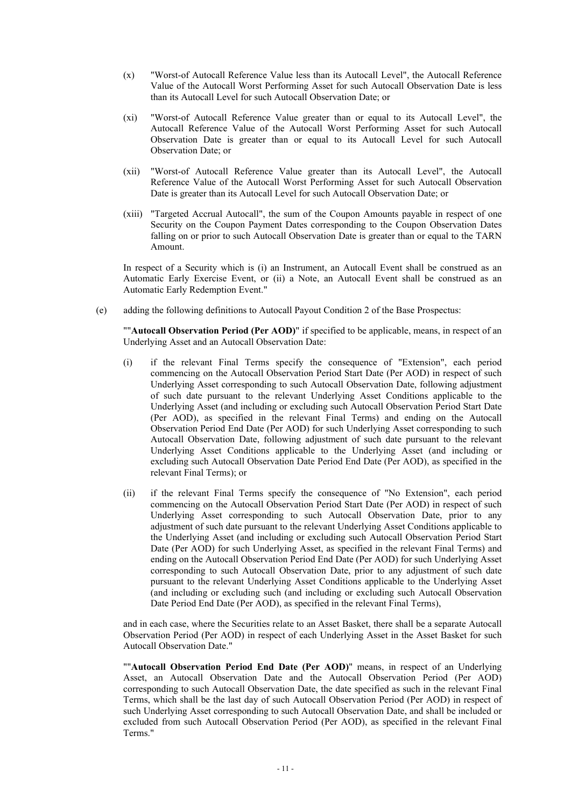- (x) "Worst-of Autocall Reference Value less than its Autocall Level", the Autocall Reference Value of the Autocall Worst Performing Asset for such Autocall Observation Date is less than its Autocall Level for such Autocall Observation Date; or
- (xi) "Worst-of Autocall Reference Value greater than or equal to its Autocall Level", the Autocall Reference Value of the Autocall Worst Performing Asset for such Autocall Observation Date is greater than or equal to its Autocall Level for such Autocall Observation Date; or
- (xii) "Worst-of Autocall Reference Value greater than its Autocall Level", the Autocall Reference Value of the Autocall Worst Performing Asset for such Autocall Observation Date is greater than its Autocall Level for such Autocall Observation Date; or
- (xiii) "Targeted Accrual Autocall", the sum of the Coupon Amounts payable in respect of one Security on the Coupon Payment Dates corresponding to the Coupon Observation Dates falling on or prior to such Autocall Observation Date is greater than or equal to the TARN Amount.

In respect of a Security which is (i) an Instrument, an Autocall Event shall be construed as an Automatic Early Exercise Event, or (ii) a Note, an Autocall Event shall be construed as an Automatic Early Redemption Event."

(e) adding the following definitions to Autocall Payout Condition 2 of the Base Prospectus:

""**Autocall Observation Period (Per AOD)**" if specified to be applicable, means, in respect of an Underlying Asset and an Autocall Observation Date:

- (i) if the relevant Final Terms specify the consequence of "Extension", each period commencing on the Autocall Observation Period Start Date (Per AOD) in respect of such Underlying Asset corresponding to such Autocall Observation Date, following adjustment of such date pursuant to the relevant Underlying Asset Conditions applicable to the Underlying Asset (and including or excluding such Autocall Observation Period Start Date (Per AOD), as specified in the relevant Final Terms) and ending on the Autocall Observation Period End Date (Per AOD) for such Underlying Asset corresponding to such Autocall Observation Date, following adjustment of such date pursuant to the relevant Underlying Asset Conditions applicable to the Underlying Asset (and including or excluding such Autocall Observation Date Period End Date (Per AOD), as specified in the relevant Final Terms); or
- (ii) if the relevant Final Terms specify the consequence of "No Extension", each period commencing on the Autocall Observation Period Start Date (Per AOD) in respect of such Underlying Asset corresponding to such Autocall Observation Date, prior to any adjustment of such date pursuant to the relevant Underlying Asset Conditions applicable to the Underlying Asset (and including or excluding such Autocall Observation Period Start Date (Per AOD) for such Underlying Asset, as specified in the relevant Final Terms) and ending on the Autocall Observation Period End Date (Per AOD) for such Underlying Asset corresponding to such Autocall Observation Date, prior to any adjustment of such date pursuant to the relevant Underlying Asset Conditions applicable to the Underlying Asset (and including or excluding such (and including or excluding such Autocall Observation Date Period End Date (Per AOD), as specified in the relevant Final Terms),

and in each case, where the Securities relate to an Asset Basket, there shall be a separate Autocall Observation Period (Per AOD) in respect of each Underlying Asset in the Asset Basket for such Autocall Observation Date."

""**Autocall Observation Period End Date (Per AOD)**" means, in respect of an Underlying Asset, an Autocall Observation Date and the Autocall Observation Period (Per AOD) corresponding to such Autocall Observation Date, the date specified as such in the relevant Final Terms, which shall be the last day of such Autocall Observation Period (Per AOD) in respect of such Underlying Asset corresponding to such Autocall Observation Date, and shall be included or excluded from such Autocall Observation Period (Per AOD), as specified in the relevant Final Terms."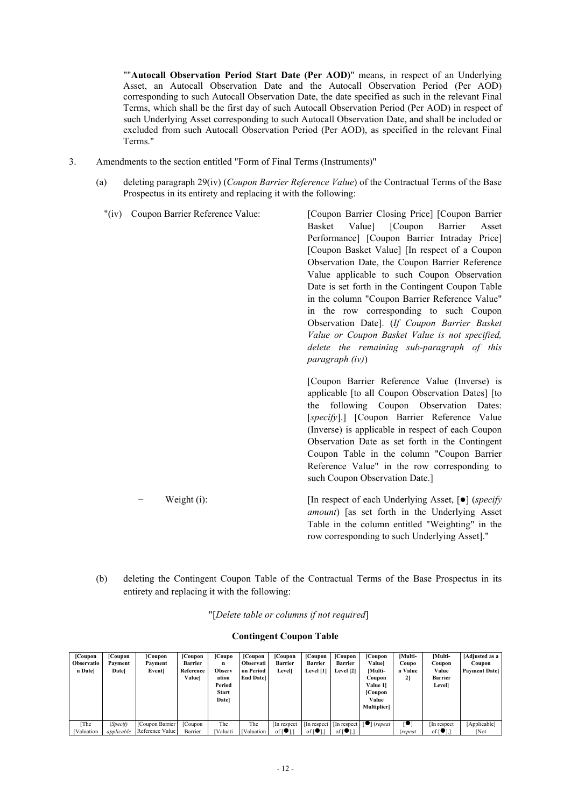""**Autocall Observation Period Start Date (Per AOD)**" means, in respect of an Underlying Asset, an Autocall Observation Date and the Autocall Observation Period (Per AOD) corresponding to such Autocall Observation Date, the date specified as such in the relevant Final Terms, which shall be the first day of such Autocall Observation Period (Per AOD) in respect of such Underlying Asset corresponding to such Autocall Observation Date, and shall be included or excluded from such Autocall Observation Period (Per AOD), as specified in the relevant Final Terms."

- 3. Amendments to the section entitled "Form of Final Terms (Instruments)"
	- (a) deleting paragraph 29(iv) (*Coupon Barrier Reference Value*) of the Contractual Terms of the Base Prospectus in its entirety and replacing it with the following:
		- "(iv) Coupon Barrier Reference Value: [Coupon Barrier Closing Price] [Coupon Barrier Basket Value] [Coupon Barrier Asset Performance] [Coupon Barrier Intraday Price] [Coupon Basket Value] [In respect of a Coupon Observation Date, the Coupon Barrier Reference Value applicable to such Coupon Observation Date is set forth in the Contingent Coupon Table in the column "Coupon Barrier Reference Value" in the row corresponding to such Coupon Observation Date]. (*If Coupon Barrier Basket Value or Coupon Basket Value is not specified, delete the remaining sub-paragraph of this paragraph (iv)*) [Coupon Barrier Reference Value (Inverse) is applicable [to all Coupon Observation Dates] [to the following Coupon Observation Dates: [*specify*].] [Coupon Barrier Reference Value (Inverse) is applicable in respect of each Coupon Observation Date as set forth in the Contingent Coupon Table in the column "Coupon Barrier Reference Value" in the row corresponding to

− Weight (i): [In respect of each Underlying Asset, [] (*specify amount*) [as set forth in the Underlying Asset Table in the column entitled "Weighting" in the row corresponding to such Underlying Asset]."

such Coupon Observation Date.]

(b) deleting the Contingent Coupon Table of the Contractual Terms of the Base Prospectus in its entirety and replacing it with the following:

"[*Delete table or columns if not required*]

| [Coupon]<br>Observatio<br>n Datel | Coupon<br>Payment<br><b>Datel</b> | [Coupon<br>Payment<br>Event | [Coupon<br><b>Barrier</b><br>Reference<br>Valuel | [Coupo]<br>n<br>Observ<br>ation<br>Period<br><b>Start</b><br><b>Datel</b> | [Coupon]<br><b>Observati</b><br>on Period<br><b>End Datel</b> | [Coupon]<br><b>Barrier</b><br>Level] | [Coupon]<br><b>Barrier</b><br>Level [1] | [Coupon]<br><b>Barrier</b><br>Level [2]                 | [Coupon]<br><b>Valuel</b><br>[Multi-<br>Coupon<br>Value 11<br>[Coupon]<br>Value<br><b>Multiplier</b> | [Multi-<br>Coupo<br>n Value<br>21 | [Multi-<br>Coupon<br>Value<br><b>Barrier</b><br><b>Level</b> | [Adjusted as a<br>Coupon<br><b>Payment Datel</b> |
|-----------------------------------|-----------------------------------|-----------------------------|--------------------------------------------------|---------------------------------------------------------------------------|---------------------------------------------------------------|--------------------------------------|-----------------------------------------|---------------------------------------------------------|------------------------------------------------------------------------------------------------------|-----------------------------------|--------------------------------------------------------------|--------------------------------------------------|
| [The                              | (Specify                          | [Coupon Barrier]            | [Coupon]                                         | The                                                                       | The                                                           | In respect                           |                                         | $\left  \right $ In respect $\left  \right $ In respect | $\lceil \bullet \rceil$ (repeat                                                                      | rо                                | In respect                                                   | [Applicable]                                     |
| <b>Valuation</b>                  | applicable                        | Reference Value             | Barrier                                          | <b>[Valuati</b>                                                           | <b>[Valuation</b>                                             | of $\lceil \bullet \rceil$ .         | of $\lceil \bullet \rceil$ ,            | of $\lceil \bullet \rceil$ ,                            |                                                                                                      | (repeat                           | of $\lceil \bullet \rceil$ .                                 | <b>Not</b>                                       |

#### **Contingent Coupon Table**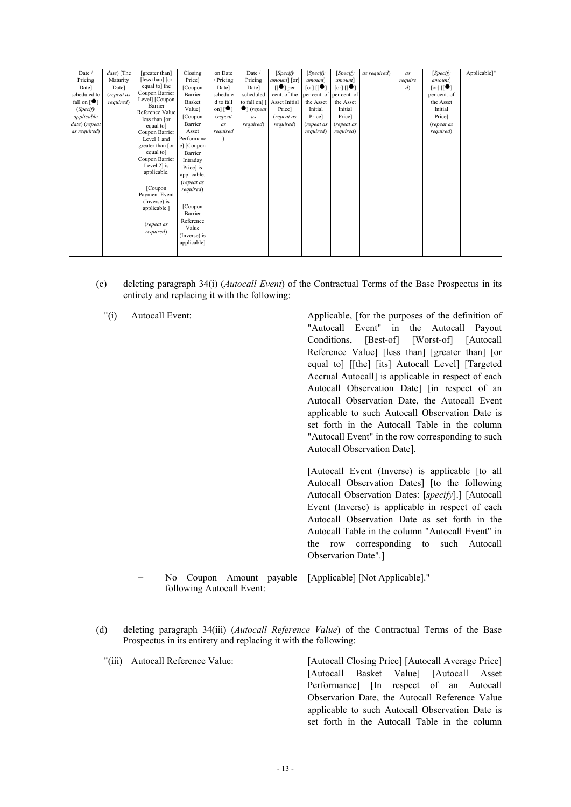| Date /                          | date) [The | [greater than]               | Closing      | on Date         | Date /              | [Specify         | [Specify                   | [Specify                  | as required) | as             | [Specify                  | Applicable]" |
|---------------------------------|------------|------------------------------|--------------|-----------------|---------------------|------------------|----------------------------|---------------------------|--------------|----------------|---------------------------|--------------|
| Pricing                         | Maturity   | [less than] [or              | Price]       | / Pricing       | Pricing             | amount] [or]     | amount]                    | amount]                   |              | require        | amount]                   |              |
| Date]                           | Datel      | equal to] the                | [Coupon]     | Date]           | Date]               | $[[\bullet]$ per | $[\text{or}]$ $[[\bullet]$ | $[\text{or}]\,[[\bullet]$ |              | $\mathfrak{d}$ | $[\text{or}]\,[[\bullet]$ |              |
| scheduled to                    | (repeat as | Coupon Barrier               | Barrier      | schedule        | scheduled           | cent. of the     |                            | per cent. of per cent. of |              |                | per cent. of              |              |
| fall on $\lceil \bullet \rceil$ | required)  | Level] [Coupon               | Basket       | d to fall       | to fall on] [       | Asset Initial    | the Asset                  | the Asset                 |              |                | the Asset                 |              |
| (Specify                        |            | Barrier<br>Reference Value   | Value]       | on] $[\bullet]$ | $\bullet$ ] (repeat | Price]           | Initial                    | Initial                   |              |                | Initial                   |              |
| applicable                      |            | less than [or                | [Coupon      | (repeat         | as                  | (repeat as       | Price                      | Price]                    |              |                | Price]                    |              |
| date) (repeat                   |            | equal to                     | Barrier      | as              | required)           | required)        | (repeat as                 | (repeat as                |              |                | (repeat as                |              |
| as required)                    |            | Coupon Barrier               | Asset        | required        |                     |                  | required)                  | required)                 |              |                | required)                 |              |
|                                 |            | Level 1 and                  | Performanc   |                 |                     |                  |                            |                           |              |                |                           |              |
|                                 |            | greater than [or             | e] [Coupon   |                 |                     |                  |                            |                           |              |                |                           |              |
|                                 |            | equal to]                    | Barrier      |                 |                     |                  |                            |                           |              |                |                           |              |
|                                 |            | Coupon Barrier               | Intraday     |                 |                     |                  |                            |                           |              |                |                           |              |
|                                 |            | Level 2] is                  | Price] is    |                 |                     |                  |                            |                           |              |                |                           |              |
|                                 |            | applicable.                  | applicable.  |                 |                     |                  |                            |                           |              |                |                           |              |
|                                 |            |                              | (repeat as   |                 |                     |                  |                            |                           |              |                |                           |              |
|                                 |            | [Coupon]                     | required)    |                 |                     |                  |                            |                           |              |                |                           |              |
|                                 |            | Payment Event                |              |                 |                     |                  |                            |                           |              |                |                           |              |
|                                 |            | (Inverse) is<br>applicable.] | [Coupon      |                 |                     |                  |                            |                           |              |                |                           |              |
|                                 |            |                              | Barrier      |                 |                     |                  |                            |                           |              |                |                           |              |
|                                 |            |                              | Reference    |                 |                     |                  |                            |                           |              |                |                           |              |
|                                 |            | (repeat as                   | Value        |                 |                     |                  |                            |                           |              |                |                           |              |
|                                 |            | required)                    | (Inverse) is |                 |                     |                  |                            |                           |              |                |                           |              |
|                                 |            |                              | applicable]  |                 |                     |                  |                            |                           |              |                |                           |              |
|                                 |            |                              |              |                 |                     |                  |                            |                           |              |                |                           |              |

(c) deleting paragraph 34(i) (*Autocall Event*) of the Contractual Terms of the Base Prospectus in its entirety and replacing it with the following:

"(i) Autocall Event: Applicable, [for the purposes of the definition of "Autocall Event" in the Autocall Payout Conditions, [Best-of] [Worst-of] [Autocall Reference Valuel [less than] [greater than] [or equal to] [[the] [its] Autocall Level] [Targeted Accrual Autocall] is applicable in respect of each Autocall Observation Date] [in respect of an Autocall Observation Date, the Autocall Event applicable to such Autocall Observation Date is set forth in the Autocall Table in the column "Autocall Event" in the row corresponding to such Autocall Observation Date].

> [Autocall Event (Inverse) is applicable [to all Autocall Observation Dates] [to the following Autocall Observation Dates: [*specify*].] [Autocall Event (Inverse) is applicable in respect of each Autocall Observation Date as set forth in the Autocall Table in the column "Autocall Event" in the row corresponding to such Autocall Observation Date".]

- − No Coupon Amount payable [Applicable] [Not Applicable]." following Autocall Event:
- (d) deleting paragraph 34(iii) (*Autocall Reference Value*) of the Contractual Terms of the Base Prospectus in its entirety and replacing it with the following:

"(iii) Autocall Reference Value: [Autocall Closing Price] [Autocall Average Price] [Autocall Basket Value] [Autocall Asset Performance] [In respect of an Autocall Observation Date, the Autocall Reference Value applicable to such Autocall Observation Date is set forth in the Autocall Table in the column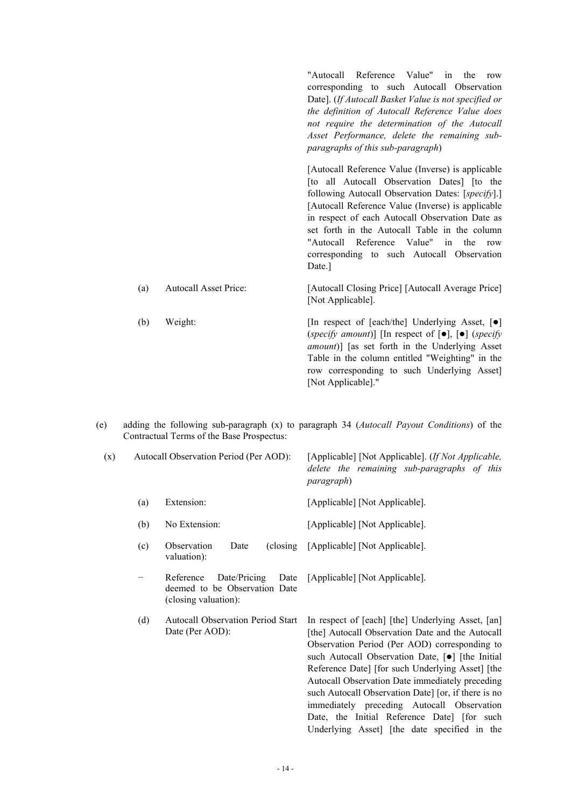|     |                              | "Autocall Reference Value" in the<br>row<br>corresponding to such Autocall Observation<br>Date]. (If Autocall Basket Value is not specified or<br>the definition of Autocall Reference Value does<br>not require the determination of the Autocall<br>Asset Performance, delete the remaining sub-<br>paragraphs of this sub-paragraph)                                                                               |
|-----|------------------------------|-----------------------------------------------------------------------------------------------------------------------------------------------------------------------------------------------------------------------------------------------------------------------------------------------------------------------------------------------------------------------------------------------------------------------|
|     |                              | [Autocall Reference Value (Inverse) is applicable<br>[to all Autocall Observation Dates] [to the<br>following Autocall Observation Dates: [specify].]<br>[Autocall Reference Value (Inverse) is applicable<br>in respect of each Autocall Observation Date as<br>set forth in the Autocall Table in the column<br>"Autocall Reference Value" in<br>the<br>row<br>corresponding to such Autocall Observation<br>Date.] |
| (a) | <b>Autocall Asset Price:</b> | [Autocall Closing Price] [Autocall Average Price]<br>[Not Applicable].                                                                                                                                                                                                                                                                                                                                                |
| (b) | Weight:                      | [In respect of [each/the] Underlying Asset, [●]<br>(specify amount)] [In respect of $[\bullet]$ , $[\bullet]$ (specify<br><i>amount</i> )] [as set forth in the Underlying Asset<br>Table in the column entitled "Weighting" in the<br>row corresponding to such Underlying Asset]                                                                                                                                    |

(e) adding the following sub-paragraph (x) to paragraph 34 (*Autocall Payout Conditions*) of the Contractual Terms of the Base Prospectus:

[Not Applicable]."

| (x) |                   | Autocall Observation Period (Per AOD):                                                     | [Applicable] [Not Applicable]. (If Not Applicable,<br>delete the remaining sub-paragraphs of this<br><i>paragraph</i> )                                                                                                                                                                                                                                                                                                                                                                                                         |  |  |  |  |
|-----|-------------------|--------------------------------------------------------------------------------------------|---------------------------------------------------------------------------------------------------------------------------------------------------------------------------------------------------------------------------------------------------------------------------------------------------------------------------------------------------------------------------------------------------------------------------------------------------------------------------------------------------------------------------------|--|--|--|--|
|     | (a)               | Extension:                                                                                 | [Applicable] [Not Applicable].                                                                                                                                                                                                                                                                                                                                                                                                                                                                                                  |  |  |  |  |
|     | (b)               | No Extension:                                                                              | [Applicable] [Not Applicable].                                                                                                                                                                                                                                                                                                                                                                                                                                                                                                  |  |  |  |  |
|     | (c)               | Observation<br>Date<br>(closing)<br>valuation):                                            | [Applicable] [Not Applicable].                                                                                                                                                                                                                                                                                                                                                                                                                                                                                                  |  |  |  |  |
|     | $\qquad \qquad -$ | Date/Pricing<br>Date<br>Reference<br>deemed to be Observation Date<br>(closing valuation): | [Applicable] [Not Applicable].                                                                                                                                                                                                                                                                                                                                                                                                                                                                                                  |  |  |  |  |
|     | (d)               | <b>Autocall Observation Period Start</b><br>Date (Per AOD):                                | In respect of [each] [the] Underlying Asset, [an]<br>[the] Autocall Observation Date and the Autocall<br>Observation Period (Per AOD) corresponding to<br>such Autocall Observation Date, [ $\bullet$ ] [the Initial<br>Reference Date] [for such Underlying Asset] [the<br>Autocall Observation Date immediately preceding<br>such Autocall Observation Date] [or, if there is no<br>immediately preceding Autocall Observation<br>Date, the Initial Reference Date] [for such<br>Underlying Asset] [the date specified in the |  |  |  |  |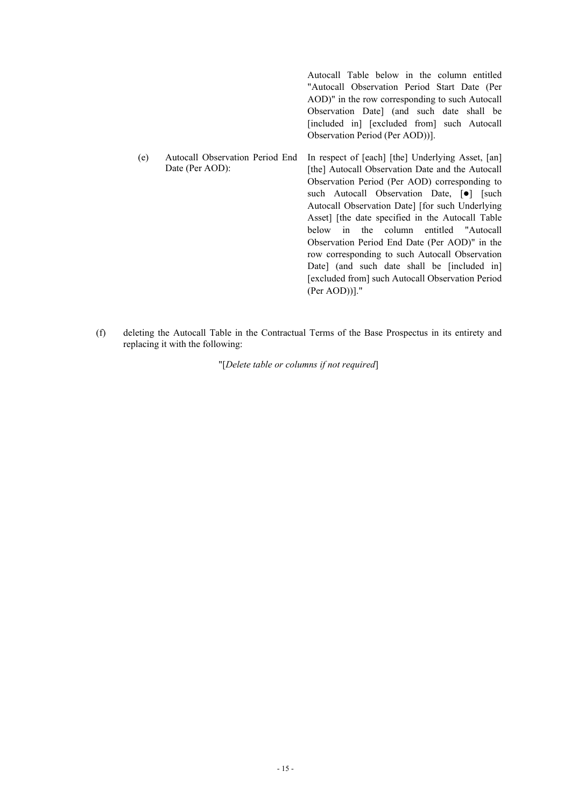| Autocall Table below in the column entitled         |
|-----------------------------------------------------|
| "Autocall Observation Period Start Date (Per        |
| AOD)" in the row corresponding to such Autocall     |
| Observation Date (and such date shall be            |
| [included in] [excluded from] such Autocall         |
| Observation Period (Per AOD))].                     |
| In respect of [each] [the] Underlying Asset, [an]   |
| [the] Autocall Observation Date and the Autocall    |
| Observation Period (Per AOD) corresponding to       |
| such Autocall Observation Date, [ $\bullet$ ] [such |
| Autocall Observation Date] [for such Underlying     |
| Asset] [the date specified in the Autocall Table    |
| in the column entitled "Autocall<br>below           |
| Observation Period End Date (Per AOD)" in the       |
| row corresponding to such Autocall Observation      |
| Date [and such date shall be [included in]          |
| Autocall Observation Period End<br>Date (Per AOD):  |

(Per AOD))]."

[excluded from] such Autocall Observation Period

(f) deleting the Autocall Table in the Contractual Terms of the Base Prospectus in its entirety and replacing it with the following:

"[*Delete table or columns if not required*]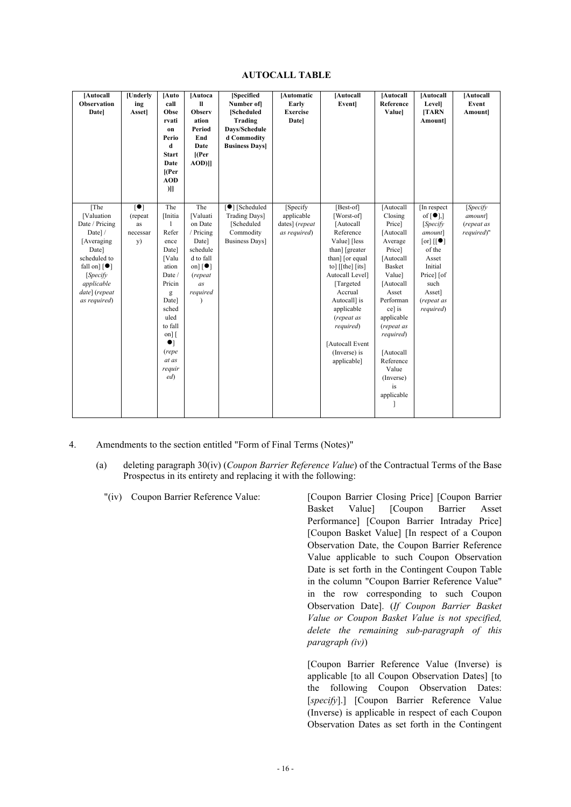| <b>AUTOCALL TABLE</b> |  |
|-----------------------|--|
|-----------------------|--|

| [Autocall<br><b>Observation</b><br>Datel                                                                                                                                               | [Underly<br>ing<br><b>Asset</b> ]                                  | [Auto<br>call<br>Obse<br>rvati<br>on<br>Perio<br>d<br><b>Start</b><br>Date<br>$[$ (Per<br><b>AOD</b><br>$)$ ]                                                                                       | [Autoca<br>$\mathbf{I}$<br><b>Observ</b><br>ation<br><b>Period</b><br>End<br>Date<br>$[$ (Per<br>$AOD$ ]]                             | [Specified<br>Number of<br>[Scheduled<br>Trading<br>Days/Schedule<br>d Commodity<br><b>Business Days</b> | [Automatic<br>Early<br><b>Exercise</b><br><b>Date</b>     | [Autocall<br>Event                                                                                                                                                                                                                                                                       | [Autocall<br>Reference<br><b>Value</b>                                                                                                                                                                                                                                    | [Autocall<br><b>Level</b><br>[TARN<br>Amount]                                                                                                                                                                          | [Autocall<br>Event<br>Amount]                    |
|----------------------------------------------------------------------------------------------------------------------------------------------------------------------------------------|--------------------------------------------------------------------|-----------------------------------------------------------------------------------------------------------------------------------------------------------------------------------------------------|---------------------------------------------------------------------------------------------------------------------------------------|----------------------------------------------------------------------------------------------------------|-----------------------------------------------------------|------------------------------------------------------------------------------------------------------------------------------------------------------------------------------------------------------------------------------------------------------------------------------------------|---------------------------------------------------------------------------------------------------------------------------------------------------------------------------------------------------------------------------------------------------------------------------|------------------------------------------------------------------------------------------------------------------------------------------------------------------------------------------------------------------------|--------------------------------------------------|
| [The<br>[Valuation<br>Date / Pricing<br>Date]/<br>[Averaging]<br>Date]<br>scheduled to<br>fall on] $\lceil \bullet \rceil$<br>[Specify]<br>applicable<br>date] (repeat<br>as required) | $\lceil \bullet \rceil$<br>(repeat<br>as<br>necessar<br><b>y</b> ) | The<br>[Initia<br>$\mathbf{I}$<br>Refer<br>ence<br>Date]<br>[Valu<br>ation<br>Date /<br>Pricin<br>g<br>Date]<br>sched<br>uled<br>to fall<br>$on$ ] [<br>$\bullet$<br>(repe<br>at as<br>requir<br>ed | The<br>[Valuati<br>on Date<br>/ Pricing<br>Date]<br>schedule<br>d to fall<br>on] $\lceil \bullet \rceil$<br>(repeat<br>as<br>required | $\boxed{\bullet}$ [Scheduled]<br>Trading Days]<br>[Scheduled<br>Commodity<br><b>Business Days</b> ]      | [Specify]<br>applicable<br>dates] (repeat<br>as required) | [Best-of]<br>[Worst-of]<br>[Autocall]<br>Reference<br>Value] [less<br>than] [greater<br>than] [or equal<br>to] $[$ [the] $[$ its]<br>Autocall Level]<br>[Targeted]<br>Accrual<br>Autocall] is<br>applicable<br>(repeat as<br>required)<br>[Autocall Event<br>(Inverse) is<br>applicable] | [Autocall<br>Closing<br>Price]<br>[Autocall<br>Average<br>Price]<br>[Autocall<br><b>Basket</b><br>Value]<br>[Autocall]<br>Asset<br>Performan<br>ce] is<br>applicable<br>(repeat as<br>required)<br>[Autocall]<br>Reference<br>Value<br>(Inverse)<br>is<br>applicable<br>I | [In respect]<br>of $\lceil \bullet \rceil$ ,<br>[Specify<br>amount]<br>$\lceil \text{or} \rceil$ $\lceil \mid \bullet \rceil$<br>of the<br>Asset<br>Initial<br>Price] [of<br>such<br>Asset]<br>(repeat as<br>required) | [Specify]<br>amount]<br>(repeat as<br>required)" |

- 4. Amendments to the section entitled "Form of Final Terms (Notes)"
	- (a) deleting paragraph 30(iv) (*Coupon Barrier Reference Value*) of the Contractual Terms of the Base Prospectus in its entirety and replacing it with the following:
		-

"(iv) Coupon Barrier Reference Value: [Coupon Barrier Closing Price] [Coupon Barrier Basket Value] [Coupon Barrier Asset Performance] [Coupon Barrier Intraday Price] [Coupon Basket Value] [In respect of a Coupon Observation Date, the Coupon Barrier Reference Value applicable to such Coupon Observation Date is set forth in the Contingent Coupon Table in the column "Coupon Barrier Reference Value" in the row corresponding to such Coupon Observation Date]. (*If Coupon Barrier Basket Value or Coupon Basket Value is not specified, delete the remaining sub-paragraph of this paragraph (iv)*)

> [Coupon Barrier Reference Value (Inverse) is applicable [to all Coupon Observation Dates] [to the following Coupon Observation Dates: [*specify*].] [Coupon Barrier Reference Value (Inverse) is applicable in respect of each Coupon Observation Dates as set forth in the Contingent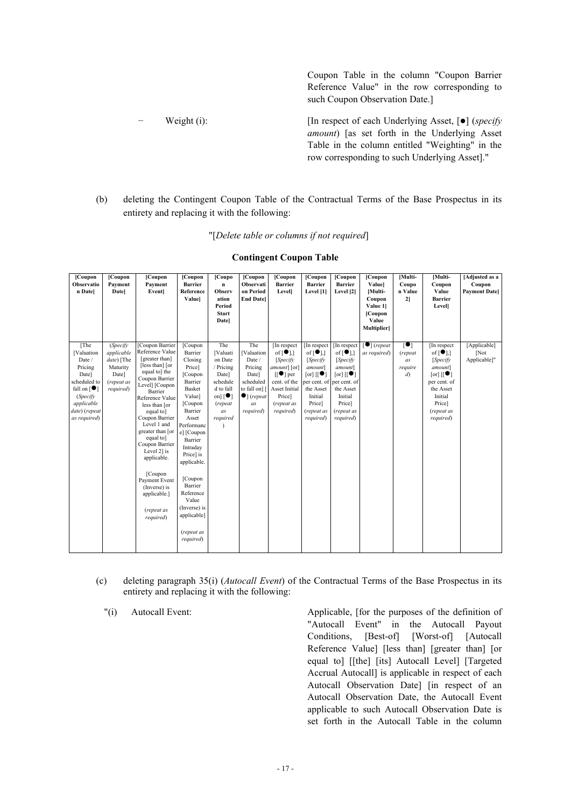Coupon Table in the column "Coupon Barrier Reference Value" in the row corresponding to such Coupon Observation Date.]

- − Weight (i): [In respect of each Underlying Asset, [] (*specify amount*) [as set forth in the Underlying Asset Table in the column entitled "Weighting" in the row corresponding to such Underlying Asset]."
- (b) deleting the Contingent Coupon Table of the Contractual Terms of the Base Prospectus in its entirety and replacing it with the following:

"[*Delete table or columns if not required*]

| [Coupon<br>Observatio<br>n Date]                                                                                                                               | [Coupon<br>Payment<br>Datel                                                           | [Coupon<br>Payment<br><b>Event</b>                                                                                                                                                                                                                                                                                                                                                                | [Coupon<br><b>Barrier</b><br>Reference<br>Valuel                                                                                                                                                                                                                                                        | [Coupo]<br>n<br>Observ<br>ation<br>Period<br><b>Start</b><br>Datel                                                                    | [Coupon<br>Observati<br>on Period<br><b>End Datel</b>                                                                   | [Coupon<br><b>Barrier</b><br><b>Level</b>                                                                                                                      | [Coupon<br><b>Barrier</b><br>Level [1]                                                                                                                                                                    | [Coupon<br><b>Barrier</b><br>Level [2]                                                                                                                                                                                         | [Coupon<br>Valuel<br>[Multi-<br>Coupon<br>Value 1<br>[Coupon<br>Value<br><b>Multiplier</b> | [Multi-<br>Coupo<br>n Value<br>21                                          | [Multi-<br>Coupon<br>Value<br><b>Barrier</b><br>Level]                                                                                                                                                             | [Adjusted as a<br>Coupon<br><b>Payment Datel</b> |
|----------------------------------------------------------------------------------------------------------------------------------------------------------------|---------------------------------------------------------------------------------------|---------------------------------------------------------------------------------------------------------------------------------------------------------------------------------------------------------------------------------------------------------------------------------------------------------------------------------------------------------------------------------------------------|---------------------------------------------------------------------------------------------------------------------------------------------------------------------------------------------------------------------------------------------------------------------------------------------------------|---------------------------------------------------------------------------------------------------------------------------------------|-------------------------------------------------------------------------------------------------------------------------|----------------------------------------------------------------------------------------------------------------------------------------------------------------|-----------------------------------------------------------------------------------------------------------------------------------------------------------------------------------------------------------|--------------------------------------------------------------------------------------------------------------------------------------------------------------------------------------------------------------------------------|--------------------------------------------------------------------------------------------|----------------------------------------------------------------------------|--------------------------------------------------------------------------------------------------------------------------------------------------------------------------------------------------------------------|--------------------------------------------------|
| [The<br>[Valuation<br>Date /<br>Pricing<br>Date]<br>scheduled to<br>fall on $\lceil \bullet \rceil$<br>(Specify<br>applicable<br>date) (repeat<br>as required) | (Specify)<br>applicable<br>date) [The<br>Maturity<br>Date]<br>(repeat as<br>required) | [Coupon Barrier<br>Reference Value<br>[greater than]<br>[less than] [or<br>equal to] the<br>Coupon Barrier<br>Level] [Coupon<br>Barrier<br>Reference Value<br>less than [or<br>equal to]<br>Coupon Barrier<br>Level 1 and<br>greater than [or<br>equal to<br>Coupon Barrier<br>Level 2] is<br>applicable.<br>[Coupon]<br>Payment Event<br>(Inverse) is<br>applicable.]<br>(repeat as<br>required) | [Coupon<br>Barrier<br>Closing<br>Price]<br>[Coupon<br>Barrier<br>Basket<br>Value]<br>[Coupon]<br>Barrier<br>Asset<br>Performanc<br>e] [Coupon<br>Barrier<br>Intraday<br>Price] is<br>applicable.<br>[Coupon]<br>Barrier<br>Reference<br>Value<br>(Inverse) is<br>applicable]<br>(repeat as<br>required) | The<br>[Valuati<br>on Date<br>/ Pricing<br>Date]<br>schedule<br>d to fall<br>on] $\lceil \bullet \rceil$<br>(repeat<br>as<br>required | The<br>[Valuation<br>Date /<br>Pricing<br>Date]<br>scheduled<br>to fall on] [<br>$\bullet$ ] (repeat<br>as<br>required) | [In respect]<br>of $[\bullet]$ ,<br>[Specify]<br>amount] [or]<br>$[[\bullet]$ per<br>cent. of the<br><b>Asset Initial</b><br>Price]<br>(repeat as<br>required) | In respect<br>of $\lceil \bullet \rceil$ ,<br>[Specify]<br>amount]<br>$\lceil \text{or} \rceil$ $\lceil \mid \bullet \rceil$<br>per cent. of<br>the Asset<br>Initial<br>Price]<br>(repeat as<br>required) | [In respect<br>of $\lceil \bullet \rceil$ ,<br>[Specify]<br>amount]<br>$[\text{or}]\left[\begin{bmatrix} \bullet \\ \bullet \end{bmatrix}\right]$<br>per cent. of<br>the Asset<br>Initial<br>Price]<br>(repeat as<br>required) | $\lceil \bullet \rceil$ (repeat<br>as required)                                            | $\overline{\phantom{a}}$<br>(repeat<br>as<br>require<br>$\left( d \right)$ | [In respect<br>of $\lceil \bullet \rceil$ ,<br>[Specify]<br><i>amount</i> ]<br>$\lceil \text{or} \rceil$ $\lceil \mid \bullet \rceil$<br>per cent. of<br>the Asset<br>Initial<br>Price]<br>(repeat as<br>required) | [Applicable]<br>[Not]<br>Applicable]"            |

- (c) deleting paragraph 35(i) (*Autocall Event*) of the Contractual Terms of the Base Prospectus in its entirety and replacing it with the following:
	-

"(i) Autocall Event: Applicable, [for the purposes of the definition of "Autocall Event" in the Autocall Payout Conditions, [Best-of] [Worst-of] [Autocall Reference Value] [less than] [greater than] [or equal to] [[the] [its] Autocall Level] [Targeted Accrual Autocall] is applicable in respect of each Autocall Observation Date] [in respect of an Autocall Observation Date, the Autocall Event applicable to such Autocall Observation Date is set forth in the Autocall Table in the column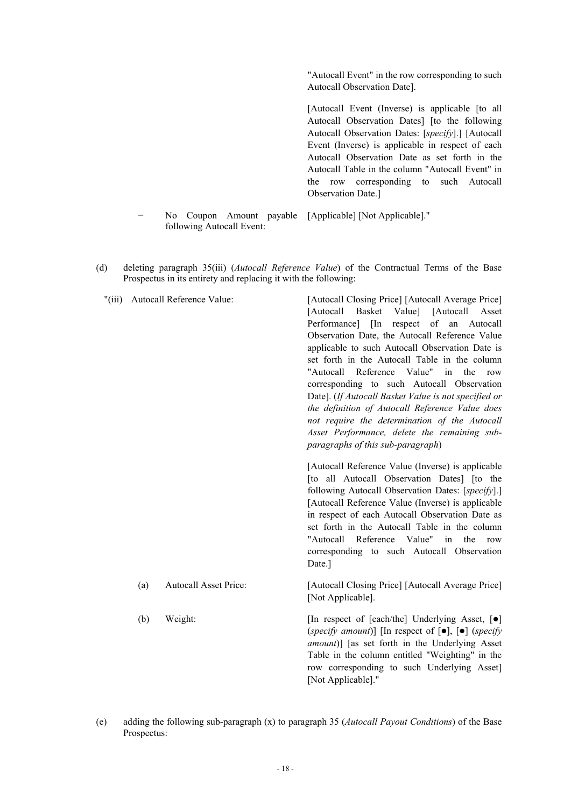"Autocall Event" in the row corresponding to such Autocall Observation Date].

[Autocall Event (Inverse) is applicable [to all Autocall Observation Dates] [to the following Autocall Observation Dates: [*specify*].] [Autocall Event (Inverse) is applicable in respect of each Autocall Observation Date as set forth in the Autocall Table in the column "Autocall Event" in the row corresponding to such Autocall Observation Date.]

- − No Coupon Amount payable [Applicable] [Not Applicable]." following Autocall Event:
- (d) deleting paragraph 35(iii) (*Autocall Reference Value*) of the Contractual Terms of the Base Prospectus in its entirety and replacing it with the following:

| $"(\text{iii})"$ |     | Autocall Reference Value:    | [Autocall Closing Price] [Autocall Average Price]<br>[Autocall]<br>Basket<br>Value]<br>[Autocall]<br>Asset<br>Performance] [In respect of an Autocall<br>Observation Date, the Autocall Reference Value<br>applicable to such Autocall Observation Date is<br>set forth in the Autocall Table in the column<br>"Autocall Reference Value" in the<br>row<br>corresponding to such Autocall Observation<br>Date]. (If Autocall Basket Value is not specified or<br>the definition of Autocall Reference Value does<br>not require the determination of the Autocall<br>Asset Performance, delete the remaining sub-<br>paragraphs of this sub-paragraph) |  |  |  |  |
|------------------|-----|------------------------------|--------------------------------------------------------------------------------------------------------------------------------------------------------------------------------------------------------------------------------------------------------------------------------------------------------------------------------------------------------------------------------------------------------------------------------------------------------------------------------------------------------------------------------------------------------------------------------------------------------------------------------------------------------|--|--|--|--|
|                  |     |                              | [Autocall Reference Value (Inverse) is applicable<br>[to all Autocall Observation Dates] [to the<br>following Autocall Observation Dates: [specify].]<br>[Autocall Reference Value (Inverse) is applicable<br>in respect of each Autocall Observation Date as<br>set forth in the Autocall Table in the column<br>"Autocall Reference<br>Value"<br>in<br>the<br>row<br>corresponding to such Autocall Observation<br>Date.]                                                                                                                                                                                                                            |  |  |  |  |
|                  | (a) | <b>Autocall Asset Price:</b> | [Autocall Closing Price] [Autocall Average Price]<br>[Not Applicable].                                                                                                                                                                                                                                                                                                                                                                                                                                                                                                                                                                                 |  |  |  |  |
|                  | (b) | Weight:                      | [In respect of [each/the] Underlying Asset, [ $\bullet$ ]<br>(specify amount)] [In respect of $[\bullet]$ , $[\bullet]$ (specify<br>amount)] [as set forth in the Underlying Asset<br>Table in the column entitled "Weighting" in the<br>row corresponding to such Underlying Asset]<br>[Not Applicable]."                                                                                                                                                                                                                                                                                                                                             |  |  |  |  |

(e) adding the following sub-paragraph (x) to paragraph 35 (*Autocall Payout Conditions*) of the Base Prospectus: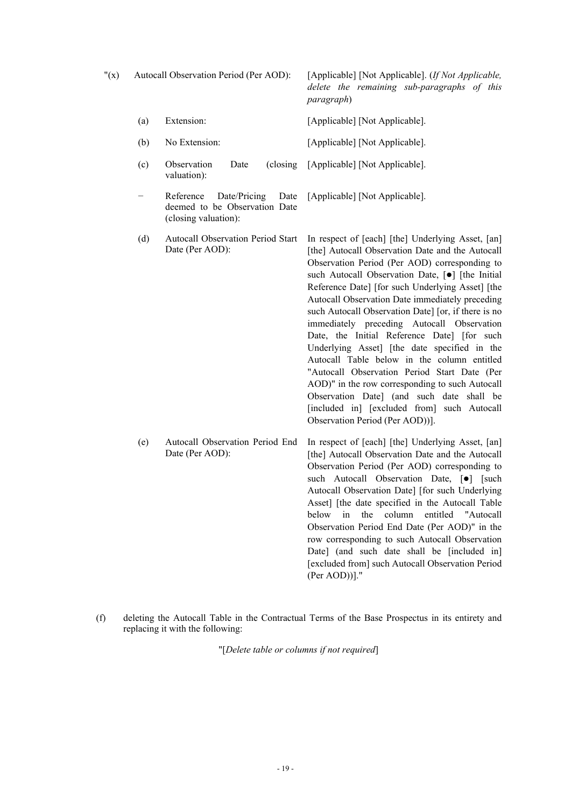"(x) Autocall Observation Period (Per AOD): [Applicable] [Not Applicable]. (*If Not Applicable, delete the remaining sub-paragraphs of this paragraph*)

- (a) Extension: [Applicable] [Not Applicable].
- (b) No Extension: [Applicable] [Not Applicable].
- (c) Observation Date valuation): [Applicable] [Not Applicable].
- Reference Date/Pricing deemed to be Observation Date (closing valuation): Date [Applicable] [Not Applicable].
- (d) Autocall Observation Period Start Date (Per AOD):
	- In respect of [each] [the] Underlying Asset, [an] [the] Autocall Observation Date and the Autocall Observation Period (Per AOD) corresponding to such Autocall Observation Date,  $[\bullet]$  [the Initial Reference Date] [for such Underlying Asset] [the Autocall Observation Date immediately preceding such Autocall Observation Date] [or, if there is no immediately preceding Autocall Observation Date, the Initial Reference Date] [for such Underlying Asset] [the date specified in the Autocall Table below in the column entitled "Autocall Observation Period Start Date (Per AOD)" in the row corresponding to such Autocall Observation Date] (and such date shall be [included in] [excluded from] such Autocall Observation Period (Per AOD))].
- (e) Autocall Observation Period End Date (Per AOD): In respect of [each] [the] Underlying Asset, [an] [the] Autocall Observation Date and the Autocall Observation Period (Per AOD) corresponding to such Autocall Observation Date, [ $\bullet$ ] [such Autocall Observation Date] [for such Underlying Asset] [the date specified in the Autocall Table below in the column entitled "Autocall Observation Period End Date (Per AOD)" in the row corresponding to such Autocall Observation Date] (and such date shall be [included in] [excluded from] such Autocall Observation Period (Per AOD))]."
- (f) deleting the Autocall Table in the Contractual Terms of the Base Prospectus in its entirety and replacing it with the following:

"[*Delete table or columns if not required*]